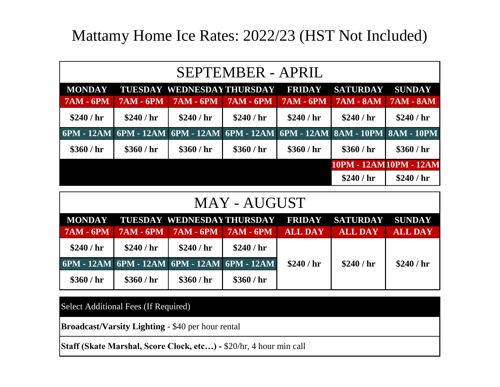# Mattamy Home Ice Rates: 2022/23 (HST Not Included)

| SEPTEMBER - APRIL |                  |                                                                              |                  |                  |                  |                        |  |
|-------------------|------------------|------------------------------------------------------------------------------|------------------|------------------|------------------|------------------------|--|
| <b>MONDAY</b>     |                  | <b>TUESDAY WEDNESDAY THURSDAY</b>                                            |                  | <b>FRIDAY</b>    | <b>SATURDAY</b>  | <b>SUNDAY</b>          |  |
| <b>7AM - 6PM</b>  | <b>7AM - 6PM</b> | <b>7AM - 6PM</b>                                                             | <b>7AM - 6PM</b> | <b>7AM - 6PM</b> | <b>7AM - 8AM</b> | <b>7AM - 8AM</b>       |  |
| \$240 / hr        | \$240/hr         | \$240 / hr                                                                   | \$240/hr         | \$240 / hr       | \$240 / hr       | \$240 / hr             |  |
|                   |                  | 6PM - 12AM 6PM - 12AM 6PM - 12AM 6PM - 12AM 6PM - 12AM 8AM - 10PM 8AM - 10PM |                  |                  |                  |                        |  |
| \$360 / hr        | \$360/hr         | \$360 / hr                                                                   | \$360/hr         | \$360 / hr       | \$360/hr         | \$360 / hr             |  |
|                   |                  |                                                                              |                  |                  |                  | 10PM - 12AM10PM - 12AM |  |
|                   |                  |                                                                              |                  |                  | \$240 / hr       | \$240 / hr             |  |

#### MAY - AUGUST

|                                             |             |                           |            |                | MONDAY TUESDAYWEDNESDAYTHURSDAY FRIDAY SATURDAY SUNDAY |                |
|---------------------------------------------|-------------|---------------------------|------------|----------------|--------------------------------------------------------|----------------|
| $7AM - 6PM$                                 | $7AM - 6PM$ | $7AM - 6PM$   $7AM - 6PM$ |            | <b>ALL DAY</b> | <b>ALL DAY</b>                                         | <b>ALL DAY</b> |
| \$240 / hr                                  | \$240 / hr  | \$240/hr                  | \$240 / hr |                |                                                        |                |
| 6PM - 12AM 6PM - 12AM 6PM - 12AM 6PM - 12AM |             |                           |            | \$240/hr       | \$240/hr                                               | \$240/hr       |
| \$360 / hr                                  | \$360 / hr  | \$360 / hr                | \$360/hr   |                |                                                        |                |

Select Additional Fees (If Required)

**Broadcast/Varsity Lighting** - \$40 per hour rental

**Staff (Skate Marshal, Score Clock, etc…) -** \$20/hr, 4 hour min call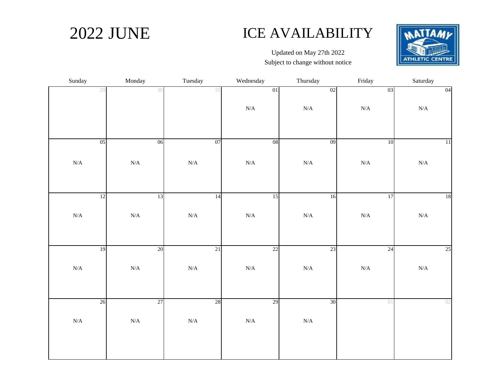## 2022 JUNE ICE AVAILABILITY



Updated on May 27th 2022 Subject to change without notice

| Sunday    | Monday    | Tuesday   | Wednesday | Thursday  | Friday    | Saturday  |
|-----------|-----------|-----------|-----------|-----------|-----------|-----------|
| 29        | 30        | 31        | $0 \\ 1$  | 02        | 03        | 04        |
|           |           |           | $\rm N/A$ | $\rm N/A$ | $\rm N/A$ | $\rm N/A$ |
| 05        | 06        | 07        | $08\,$    | 09        | 10        | 11        |
|           |           |           |           |           |           |           |
| $\rm N/A$ | $\rm N/A$ | $\rm N/A$ | $\rm N/A$ | $\rm N/A$ | $\rm N/A$ | $\rm N/A$ |
|           |           |           |           |           |           |           |
| 12        | 13        | 14        | 15        | 16        | 17        | 18        |
| $\rm N/A$ | $\rm N/A$ | $\rm N/A$ | $\rm N/A$ | $\rm N/A$ | $\rm N/A$ | $\rm N/A$ |
|           |           |           |           |           |           |           |
| 19        | 20        | 21        | 22        | 23        | 24        | 25        |
| $\rm N/A$ | $\rm N/A$ | $\rm N/A$ | $\rm N/A$ | $\rm N/A$ | $\rm N/A$ | $\rm N/A$ |
|           |           |           |           |           |           |           |
| 26        | 27        | $28\,$    | 29        | 30        | 01        | 02        |
| $\rm N/A$ | $\rm N/A$ | $\rm N/A$ | $\rm N/A$ | $\rm N/A$ |           |           |
|           |           |           |           |           |           |           |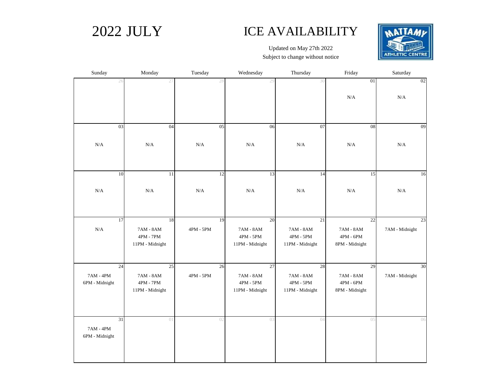#### 2022 JULY ICE AVAILABILITY



Updated on May 27th 2022 Subject to change without notice

| Sunday                        | Monday                   | Tuesday         | Wednesday                                    | Thursday                                     | Friday                                       | Saturday             |
|-------------------------------|--------------------------|-----------------|----------------------------------------------|----------------------------------------------|----------------------------------------------|----------------------|
| 26                            | 27                       | 28              | 29                                           | 30                                           | 01                                           | 02                   |
|                               |                          |                 |                                              |                                              | N/A                                          | N/A                  |
|                               |                          |                 |                                              |                                              |                                              |                      |
| 03                            | 04                       | 05              | 06                                           | 07                                           | $\overline{08}$                              | 09                   |
| $\rm N/A$                     | $\rm N/A$                | $\rm N/A$       | $\rm N/A$                                    | $\rm N/A$                                    | $\rm N/A$                                    | $\rm N/A$            |
|                               |                          |                 |                                              |                                              |                                              |                      |
| 10                            | $\overline{11}$          | 12              | 13                                           | 14                                           | 15                                           | 16                   |
| $\rm N/A$                     | $\rm N/A$                | $\rm N/A$       | N/A                                          | $\rm N/A$                                    | $\rm N/A$                                    | N/A                  |
|                               |                          |                 |                                              |                                              |                                              |                      |
| 17<br>$\rm N/A$               | 18<br>$7AM - 8AM$        | 19<br>4PM - 5PM | 20<br>7AM - 8AM                              | 21<br>7AM - 8AM                              | 22<br>7AM - 8AM                              | 23<br>7AM - Midnight |
|                               | $4PM - 7PM$              |                 | $4\mathrm{PM}$ - $5\mathrm{PM}$              | $4\mathrm{PM}$ - $5\mathrm{PM}$              | $4\mathrm{PM}$ - $6\mathrm{PM}$              |                      |
|                               | 11PM - Midnight          |                 | 11PM - Midnight                              | 11PM - Midnight                              | 8PM - Midnight                               |                      |
| 24                            | 25                       | 26              | $\overline{27}$                              | 28                                           | 29                                           | 30                   |
| 7AM - 4PM<br>6PM - Midnight   | 7AM - 8AM<br>$4PM - 7PM$ | 4PM - 5PM       | 7AM - 8AM<br>$4\mathrm{PM}$ - $5\mathrm{PM}$ | 7AM - 8AM<br>$4\mathrm{PM}$ - $5\mathrm{PM}$ | 7AM - 8AM<br>$4\mathrm{PM}$ - $6\mathrm{PM}$ | 7AM - Midnight       |
|                               | 11PM - Midnight          |                 | 11PM - Midnight                              | 11PM - Midnight                              | 8PM - Midnight                               |                      |
| 31                            | 01                       | 02              | 03                                           | 04                                           | 05                                           | 06                   |
| $7AM - 4PM$<br>6PM - Midnight |                          |                 |                                              |                                              |                                              |                      |
|                               |                          |                 |                                              |                                              |                                              |                      |